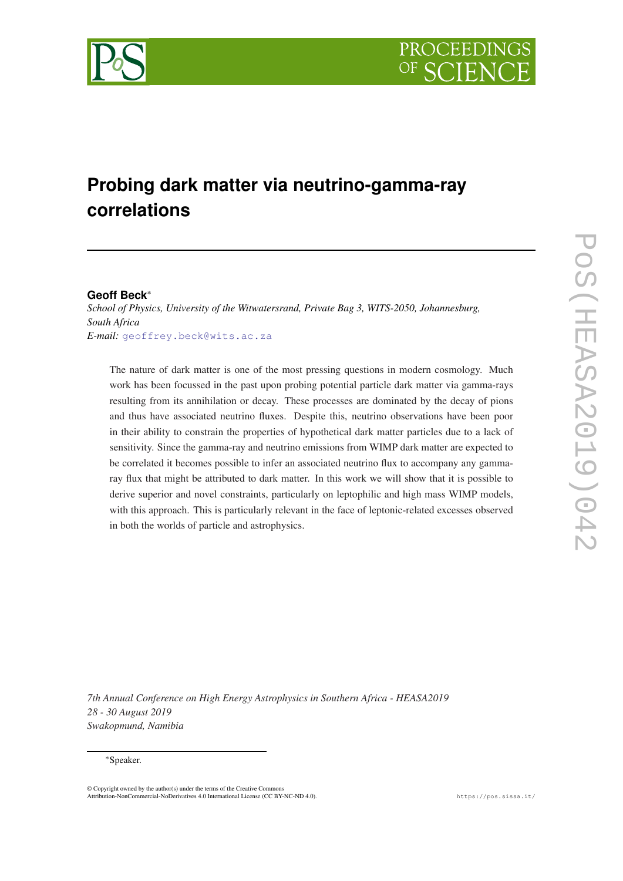

# **Probing dark matter via neutrino-gamma-ray correlations**

# **Geoff Beck**\*

*School of Physics, University of the Witwatersrand, Private Bag 3, WITS-2050, Johannesburg, South Africa E-mail:* [geoffrey.beck@wits.ac.za](mailto:geoffrey.beck@wits.ac.za)

The nature of dark matter is one of the most pressing questions in modern cosmology. Much work has been focussed in the past upon probing potential particle dark matter via gamma-rays resulting from its annihilation or decay. These processes are dominated by the decay of pions and thus have associated neutrino fluxes. Despite this, neutrino observations have been poor in their ability to constrain the properties of hypothetical dark matter particles due to a lack of sensitivity. Since the gamma-ray and neutrino emissions from WIMP dark matter are expected to be correlated it becomes possible to infer an associated neutrino flux to accompany any gammaray flux that might be attributed to dark matter. In this work we will show that it is possible to derive superior and novel constraints, particularly on leptophilic and high mass WIMP models, with this approach. This is particularly relevant in the face of leptonic-related excesses observed in both the worlds of particle and astrophysics.

*7th Annual Conference on High Energy Astrophysics in Southern Africa - HEASA2019 28 - 30 August 2019 Swakopmund, Namibia*

## \*Speaker.

© Copyright owned by the author(s) under the terms of the Creative Commons Attribution-NonCommercial-NoDerivatives 4.0 International License (CC BY-NC-ND 4.0). https://pos.sissa.it/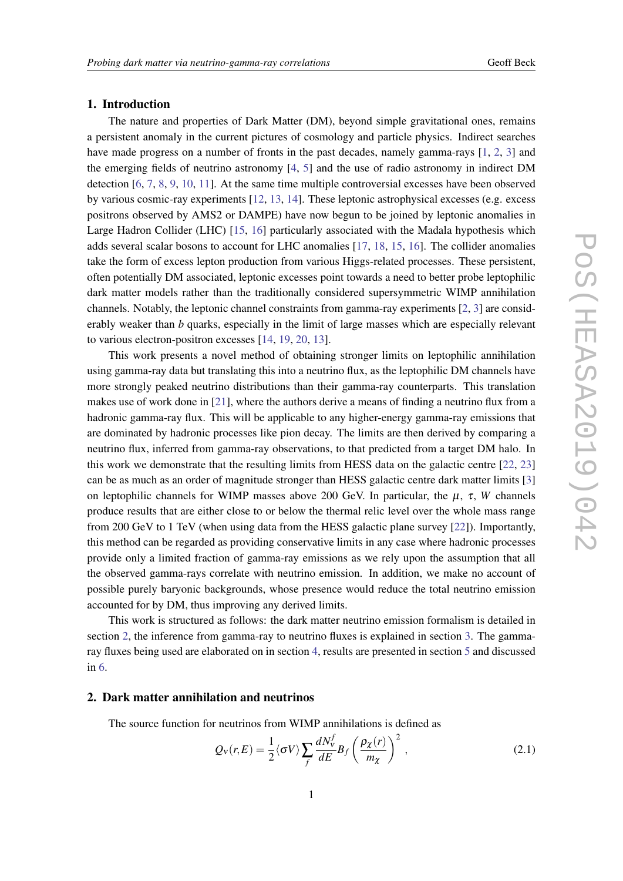## 1. Introduction

The nature and properties of Dark Matter (DM), beyond simple gravitational ones, remains a persistent anomaly in the current pictures of cosmology and particle physics. Indirect searches have made progress on a number of fronts in the past decades, namely gamma-rays [[1](#page-5-0), [2,](#page-5-0) [3](#page-5-0)] and the emerging fields of neutrino astronomy [\[4,](#page-5-0) [5](#page-5-0)] and the use of radio astronomy in indirect DM detection [[6](#page-5-0), [7](#page-5-0), [8](#page-5-0), [9](#page-5-0), [10](#page-5-0), [11\]](#page-5-0). At the same time multiple controversial excesses have been observed by various cosmic-ray experiments [[12](#page-5-0), [13,](#page-6-0) [14\]](#page-6-0). These leptonic astrophysical excesses (e.g. excess positrons observed by AMS2 or DAMPE) have now begun to be joined by leptonic anomalies in Large Hadron Collider (LHC) [\[15](#page-6-0), [16](#page-6-0)] particularly associated with the Madala hypothesis which adds several scalar bosons to account for LHC anomalies [[17,](#page-6-0) [18](#page-6-0), [15,](#page-6-0) [16](#page-6-0)]. The collider anomalies take the form of excess lepton production from various Higgs-related processes. These persistent, often potentially DM associated, leptonic excesses point towards a need to better probe leptophilic dark matter models rather than the traditionally considered supersymmetric WIMP annihilation channels. Notably, the leptonic channel constraints from gamma-ray experiments [[2](#page-5-0), [3\]](#page-5-0) are considerably weaker than *b* quarks, especially in the limit of large masses which are especially relevant to various electron-positron excesses [\[14](#page-6-0), [19](#page-6-0), [20,](#page-6-0) [13](#page-6-0)].

This work presents a novel method of obtaining stronger limits on leptophilic annihilation using gamma-ray data but translating this into a neutrino flux, as the leptophilic DM channels have more strongly peaked neutrino distributions than their gamma-ray counterparts. This translation makes use of work done in [[21\]](#page-6-0), where the authors derive a means of finding a neutrino flux from a hadronic gamma-ray flux. This will be applicable to any higher-energy gamma-ray emissions that are dominated by hadronic processes like pion decay. The limits are then derived by comparing a neutrino flux, inferred from gamma-ray observations, to that predicted from a target DM halo. In this work we demonstrate that the resulting limits from HESS data on the galactic centre [[22,](#page-6-0) [23](#page-6-0)] can be as much as an order of magnitude stronger than HESS galactic centre dark matter limits [[3](#page-5-0)] on leptophilic channels for WIMP masses above 200 GeV. In particular, the  $\mu$ ,  $\tau$ , *W* channels produce results that are either close to or below the thermal relic level over the whole mass range from 200 GeV to 1 TeV (when using data from the HESS galactic plane survey [\[22](#page-6-0)]). Importantly, this method can be regarded as providing conservative limits in any case where hadronic processes provide only a limited fraction of gamma-ray emissions as we rely upon the assumption that all the observed gamma-rays correlate with neutrino emission. In addition, we make no account of possible purely baryonic backgrounds, whose presence would reduce the total neutrino emission accounted for by DM, thus improving any derived limits.

This work is structured as follows: the dark matter neutrino emission formalism is detailed in section 2, the inference from gamma-ray to neutrino fluxes is explained in section [3.](#page-2-0) The gammaray fluxes being used are elaborated on in section [4,](#page-2-0) results are presented in section [5](#page-3-0) and discussed in [6](#page-4-0).

## 2. Dark matter annihilation and neutrinos

The source function for neutrinos from WIMP annihilations is defined as

$$
Q_V(r,E) = \frac{1}{2} \langle \sigma V \rangle \sum_f \frac{dN_V^f}{dE} B_f \left( \frac{\rho_\chi(r)}{m_\chi} \right)^2 , \qquad (2.1)
$$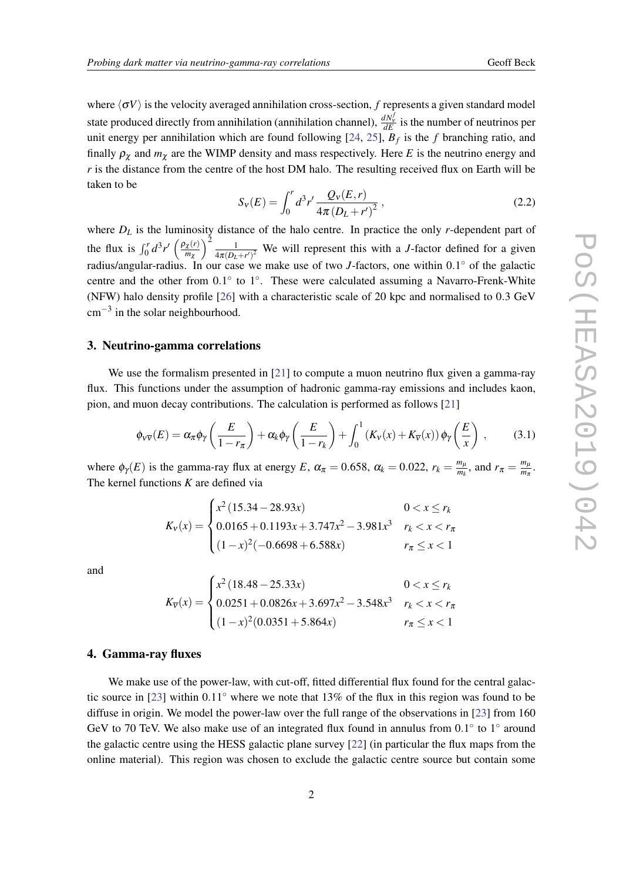<span id="page-2-0"></span>where  $\langle \sigma V \rangle$  is the velocity averaged annihilation cross-section, *f* represents a given standard model state produced directly from annihilation (annihilation channel),  $\frac{dN_v^f}{dE}$  is the number of neutrinos per unit energy per annihilation which are found following [[24](#page-6-0), [25](#page-6-0)], *B<sup>f</sup>* is the *f* branching ratio, and finally  $\rho_{\gamma}$  and  $m_{\gamma}$  are the WIMP density and mass respectively. Here *E* is the neutrino energy and *r* is the distance from the centre of the host DM halo. The resulting received flux on Earth will be taken to be

$$
S_V(E) = \int_0^r d^3r' \frac{Q_V(E,r)}{4\pi (D_L + r')^2},
$$
\n(2.2)

where  $D_L$  is the luminosity distance of the halo centre. In practice the only *r*-dependent part of the flux is  $\int_0^r d^3 r' \left( \frac{\rho_\chi(r)}{m_\gamma} \right)$ *m*χ  $\left\langle \frac{2}{1} \right\rangle$  $\frac{1}{4\pi(D_L+r')^2}$  We will represent this with a *J*-factor defined for a given radius/angular-radius. In our case we make use of two *J*-factors, one within 0.1° of the galactic centre and the other from 0.1° to 1°. These were calculated assuming a Navarro-Frenk-White (NFW) halo density profile [\[26](#page-6-0)] with a characteristic scale of 20 kpc and normalised to 0.3 GeV  $cm^{-3}$  in the solar neighbourhood.

#### 3. Neutrino-gamma correlations

We use the formalism presented in [[21\]](#page-6-0) to compute a muon neutrino flux given a gamma-ray flux. This functions under the assumption of hadronic gamma-ray emissions and includes kaon, pion, and muon decay contributions. The calculation is performed as follows [[21\]](#page-6-0)

$$
\phi_{v\overline{v}}(E) = \alpha_{\pi} \phi_{\gamma} \left( \frac{E}{1 - r_{\pi}} \right) + \alpha_{k} \phi_{\gamma} \left( \frac{E}{1 - r_{k}} \right) + \int_{0}^{1} \left( K_{v}(x) + K_{\overline{v}}(x) \right) \phi_{\gamma} \left( \frac{E}{x} \right) , \tag{3.1}
$$

where  $\phi_{\gamma}(E)$  is the gamma-ray flux at energy *E*,  $\alpha_{\pi} = 0.658$ ,  $\alpha_k = 0.022$ ,  $r_k = \frac{m_{\mu}}{m_k}$  $\frac{m_\mu}{m_k}$ , and  $r_\pi = \frac{m_\mu}{m_\pi}$  $\frac{m_\mu}{m_\pi}$ . The kernel functions *K* are defined via

$$
K_{v}(x) = \begin{cases} x^{2} (15.34 - 28.93x) & 0 < x \le r_{k} \\ 0.0165 + 0.1193x + 3.747x^{2} - 3.981x^{3} & r_{k} < x < r_{\pi} \\ (1 - x)^{2} (-0.6698 + 6.588x) & r_{\pi} \le x < 1 \end{cases}
$$

and

$$
K_{\overline{v}}(x) = \begin{cases} x^2 (18.48 - 25.33x) & 0 < x \le r_k \\ 0.0251 + 0.0826x + 3.697x^2 - 3.548x^3 & r_k < x < r_\pi \\ (1 - x)^2 (0.0351 + 5.864x) & r_\pi \le x < 1 \end{cases}
$$

### 4. Gamma-ray fluxes

We make use of the power-law, with cut-off, fitted differential flux found for the central galactic source in [\[23](#page-6-0)] within 0.11◦ where we note that 13% of the flux in this region was found to be diffuse in origin. We model the power-law over the full range of the observations in [\[23](#page-6-0)] from 160 GeV to 70 TeV. We also make use of an integrated flux found in annulus from  $0.1^\circ$  to  $1^\circ$  around the galactic centre using the HESS galactic plane survey [[22\]](#page-6-0) (in particular the flux maps from the online material). This region was chosen to exclude the galactic centre source but contain some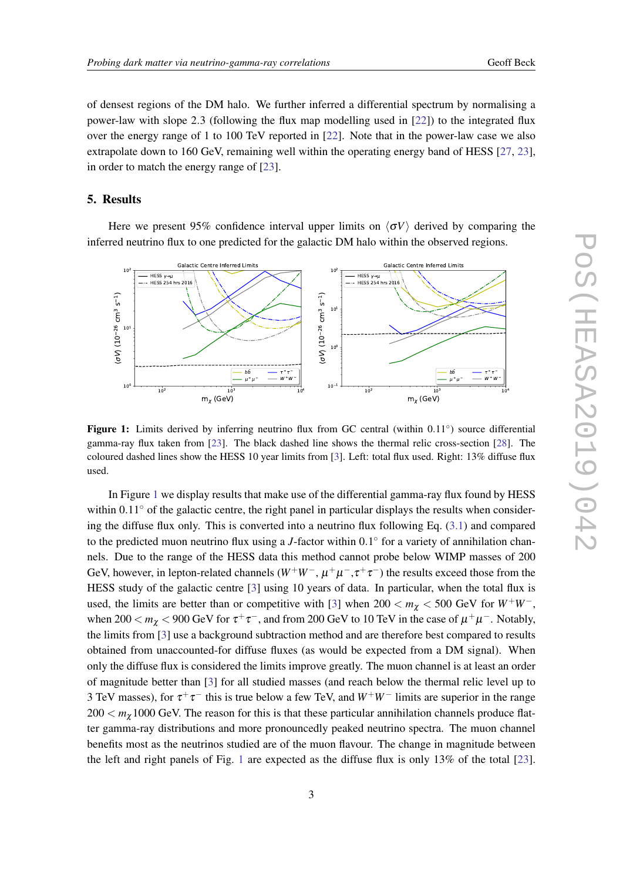<span id="page-3-0"></span>of densest regions of the DM halo. We further inferred a differential spectrum by normalising a power-law with slope 2.3 (following the flux map modelling used in [[22\]](#page-6-0)) to the integrated flux over the energy range of 1 to 100 TeV reported in [\[22](#page-6-0)]. Note that in the power-law case we also extrapolate down to 160 GeV, remaining well within the operating energy band of HESS [\[27](#page-6-0), [23\]](#page-6-0), in order to match the energy range of [[23](#page-6-0)].

## 5. Results

Here we present 95% confidence interval upper limits on  $\langle \sigma V \rangle$  derived by comparing the inferred neutrino flux to one predicted for the galactic DM halo within the observed regions.



Figure 1: Limits derived by inferring neutrino flux from GC central (within 0.11°) source differential gamma-ray flux taken from [\[23](#page-6-0)]. The black dashed line shows the thermal relic cross-section [[28\]](#page-6-0). The coloured dashed lines show the HESS 10 year limits from [\[3](#page-5-0)]. Left: total flux used. Right: 13% diffuse flux used.

In Figure 1 we display results that make use of the differential gamma-ray flux found by HESS within  $0.11°$  of the galactic centre, the right panel in particular displays the results when considering the diffuse flux only. This is converted into a neutrino flux following Eq. ([3.1](#page-2-0)) and compared to the predicted muon neutrino flux using a *J*-factor within 0.1° for a variety of annihilation channels. Due to the range of the HESS data this method cannot probe below WIMP masses of 200 GeV, however, in lepton-related channels  $(W^+W^-$ ,  $\mu^+\mu^-$ ,  $\tau^+\tau^-$ ) the results exceed those from the HESS study of the galactic centre [\[3](#page-5-0)] using 10 years of data. In particular, when the total flux is used, the limits are better than or competitive with [\[3\]](#page-5-0) when  $200 < m_{\chi} < 500$  GeV for  $W^{+}W^{-}$ , when 200  $<$   $m_{\chi}$   $<$  900 GeV for  $\tau^+\tau^-$ , and from 200 GeV to 10 TeV in the case of  $\mu^+\mu^-$ . Notably, the limits from [\[3\]](#page-5-0) use a background subtraction method and are therefore best compared to results obtained from unaccounted-for diffuse fluxes (as would be expected from a DM signal). When only the diffuse flux is considered the limits improve greatly. The muon channel is at least an order of magnitude better than [[3](#page-5-0)] for all studied masses (and reach below the thermal relic level up to 3 TeV masses), for  $\tau^+\tau^-$  this is true below a few TeV, and  $W^+W^-$  limits are superior in the range  $200 < m<sub>\gamma</sub>$  1000 GeV. The reason for this is that these particular annihilation channels produce flatter gamma-ray distributions and more pronouncedly peaked neutrino spectra. The muon channel benefits most as the neutrinos studied are of the muon flavour. The change in magnitude between the left and right panels of Fig. 1 are expected as the diffuse flux is only 13% of the total [[23\]](#page-6-0).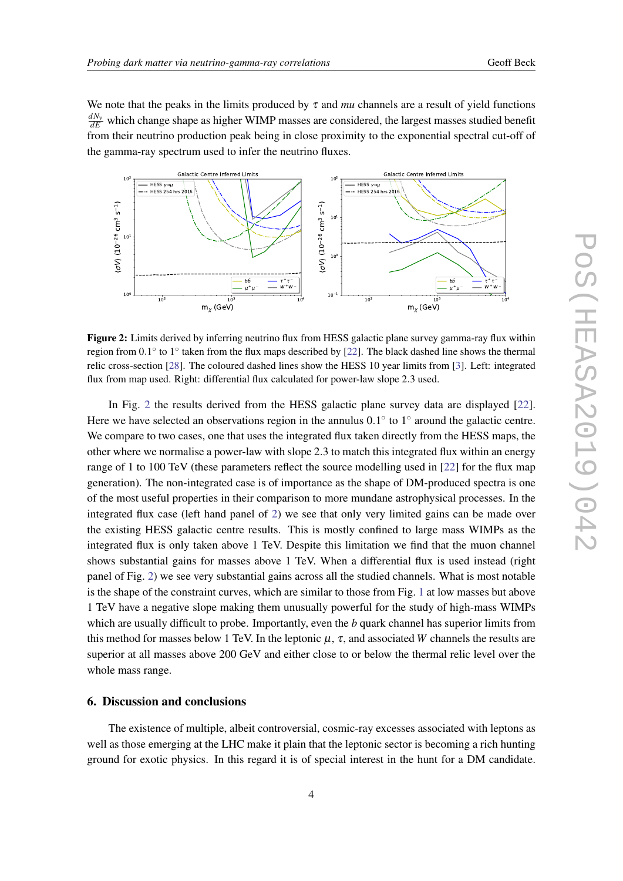<span id="page-4-0"></span>We note that the peaks in the limits produced by  $\tau$  and *mu* channels are a result of yield functions  $\frac{dN_{\rm V}}{dE}$  which change shape as higher WIMP masses are considered, the largest masses studied benefit from their neutrino production peak being in close proximity to the exponential spectral cut-off of the gamma-ray spectrum used to infer the neutrino fluxes.



Figure 2: Limits derived by inferring neutrino flux from HESS galactic plane survey gamma-ray flux within region from 0.1° to 1° taken from the flux maps described by [[22\]](#page-6-0). The black dashed line shows the thermal relic cross-section [[28](#page-6-0)]. The coloured dashed lines show the HESS 10 year limits from [[3\]](#page-5-0). Left: integrated flux from map used. Right: differential flux calculated for power-law slope 2.3 used.

In Fig. 2 the results derived from the HESS galactic plane survey data are displayed [[22\]](#page-6-0). Here we have selected an observations region in the annulus  $0.1^{\circ}$  to  $1^{\circ}$  around the galactic centre. We compare to two cases, one that uses the integrated flux taken directly from the HESS maps, the other where we normalise a power-law with slope 2.3 to match this integrated flux within an energy range of 1 to 100 TeV (these parameters reflect the source modelling used in [\[22](#page-6-0)] for the flux map generation). The non-integrated case is of importance as the shape of DM-produced spectra is one of the most useful properties in their comparison to more mundane astrophysical processes. In the integrated flux case (left hand panel of 2) we see that only very limited gains can be made over the existing HESS galactic centre results. This is mostly confined to large mass WIMPs as the integrated flux is only taken above 1 TeV. Despite this limitation we find that the muon channel shows substantial gains for masses above 1 TeV. When a differential flux is used instead (right panel of Fig. 2) we see very substantial gains across all the studied channels. What is most notable is the shape of the constraint curves, which are similar to those from Fig. [1](#page-3-0) at low masses but above 1 TeV have a negative slope making them unusually powerful for the study of high-mass WIMPs which are usually difficult to probe. Importantly, even the *b* quark channel has superior limits from this method for masses below 1 TeV. In the leptonic  $\mu$ ,  $\tau$ , and associated *W* channels the results are superior at all masses above 200 GeV and either close to or below the thermal relic level over the whole mass range.

## 6. Discussion and conclusions

The existence of multiple, albeit controversial, cosmic-ray excesses associated with leptons as well as those emerging at the LHC make it plain that the leptonic sector is becoming a rich hunting ground for exotic physics. In this regard it is of special interest in the hunt for a DM candidate.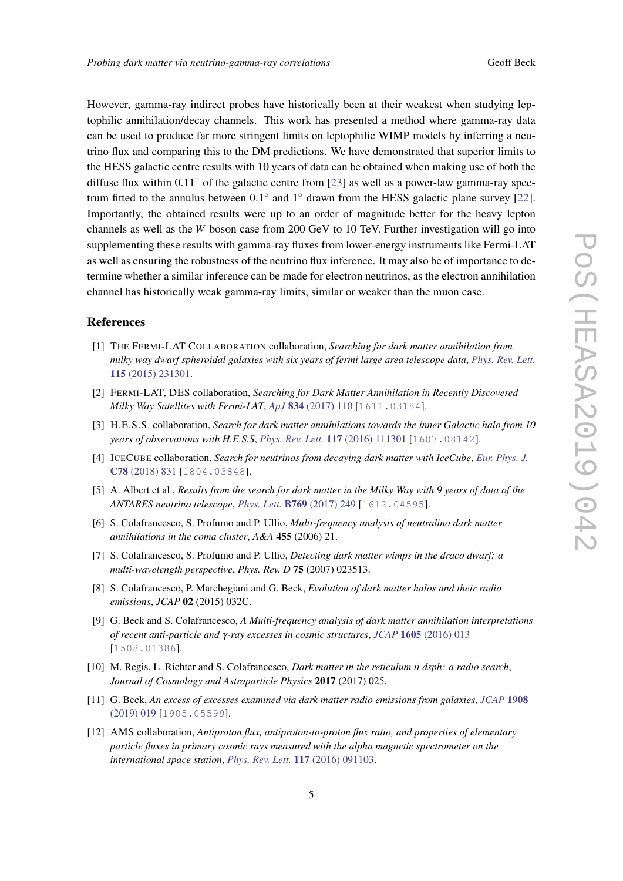<span id="page-5-0"></span>However, gamma-ray indirect probes have historically been at their weakest when studying leptophilic annihilation/decay channels. This work has presented a method where gamma-ray data can be used to produce far more stringent limits on leptophilic WIMP models by inferring a neutrino flux and comparing this to the DM predictions. We have demonstrated that superior limits to the HESS galactic centre results with 10 years of data can be obtained when making use of both the diffuse flux within  $0.11°$  of the galactic centre from [\[23](#page-6-0)] as well as a power-law gamma-ray spectrum fitted to the annulus between  $0.1^\circ$  and  $1^\circ$  drawn from the HESS galactic plane survey [[22\]](#page-6-0). Importantly, the obtained results were up to an order of magnitude better for the heavy lepton channels as well as the *W* boson case from 200 GeV to 10 TeV. Further investigation will go into supplementing these results with gamma-ray fluxes from lower-energy instruments like Fermi-LAT as well as ensuring the robustness of the neutrino flux inference. It may also be of importance to determine whether a similar inference can be made for electron neutrinos, as the electron annihilation channel has historically weak gamma-ray limits, similar or weaker than the muon case.

## References

- [1] THE FERMI-LAT COLLABORATION collaboration, *Searching for dark matter annihilation from milky way dwarf spheroidal galaxies with six years of fermi large area telescope data*, *[Phys. Rev. Lett.](https://doi.org/10.1103/PhysRevLett.115.231301)* 115 [\(2015\) 231301.](https://doi.org/10.1103/PhysRevLett.115.231301)
- [2] FERMI-LAT, DES collaboration, *Searching for Dark Matter Annihilation in Recently Discovered Milky Way Satellites with Fermi-LAT, ApJ 834 (2017)* 110 [[1611.03184](https://arxiv.org/abs/1611.03184)].
- [3] H.E.S.S. collaboration, *Search for dark matter annihilations towards the inner Galactic halo from 10 years of observations with H.E.S.S*, *[Phys. Rev. Lett.](https://doi.org/10.1103/PhysRevLett.117.111301)* 117 (2016) 111301 [[1607.08142](https://arxiv.org/abs/1607.08142)].
- [4] ICECUBE collaboration, *Search for neutrinos from decaying dark matter with IceCube*, *[Eur. Phys. J.](https://doi.org/10.1140/epjc/s10052-018-6273-3)* C78 [\(2018\) 831](https://doi.org/10.1140/epjc/s10052-018-6273-3) [[1804.03848](https://arxiv.org/abs/1804.03848)].
- [5] A. Albert et al., *Results from the search for dark matter in the Milky Way with 9 years of data of the ANTARES neutrino telescope*, *Phys. Lett.* B769 [\(2017\) 249](https://doi.org/10.1016/j.physletb.2019.05.022, 10.1016/j.physletb.2017.03.063) [[1612.04595](https://arxiv.org/abs/1612.04595)].
- [6] S. Colafrancesco, S. Profumo and P. Ullio, *Multi-frequency analysis of neutralino dark matter annihilations in the coma cluster*, *A&A* 455 (2006) 21.
- [7] S. Colafrancesco, S. Profumo and P. Ullio, *Detecting dark matter wimps in the draco dwarf: a multi-wavelength perspective*, *Phys. Rev. D* 75 (2007) 023513.
- [8] S. Colafrancesco, P. Marchegiani and G. Beck, *Evolution of dark matter halos and their radio emissions*, *JCAP* 02 (2015) 032C.
- [9] G. Beck and S. Colafrancesco, *A Multi-frequency analysis of dark matter annihilation interpretations of recent anti-particle and* γ*-ray excesses in cosmic structures*, *JCAP* 1605 [\(2016\) 013](https://doi.org/10.1088/1475-7516/2016/05/013) [[1508.01386](https://arxiv.org/abs/1508.01386)].
- [10] M. Regis, L. Richter and S. Colafrancesco, *Dark matter in the reticulum ii dsph: a radio search*, *Journal of Cosmology and Astroparticle Physics* 2017 (2017) 025.
- [11] G. Beck, *An excess of excesses examined via dark matter radio emissions from galaxies*, *[JCAP](https://doi.org/10.1088/1475-7516/2019/08/019)* 1908 [\(2019\) 019](https://doi.org/10.1088/1475-7516/2019/08/019) [[1905.05599](https://arxiv.org/abs/1905.05599)].
- [12] AMS collaboration, *Antiproton flux, antiproton-to-proton flux ratio, and properties of elementary particle fluxes in primary cosmic rays measured with the alpha magnetic spectrometer on the international space station*, *[Phys. Rev. Lett.](https://doi.org/10.1103/PhysRevLett.117.091103)* 117 (2016) 091103.